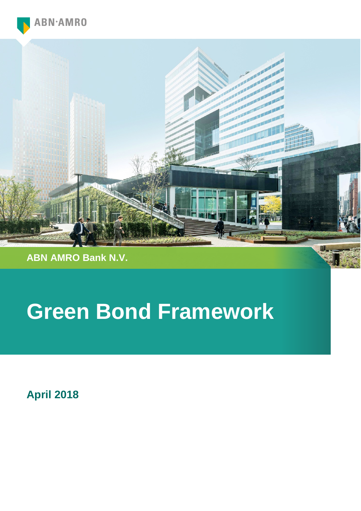



**ABN AMRO Bank N.V.**

# **Green Bond Framework**

**April 2018**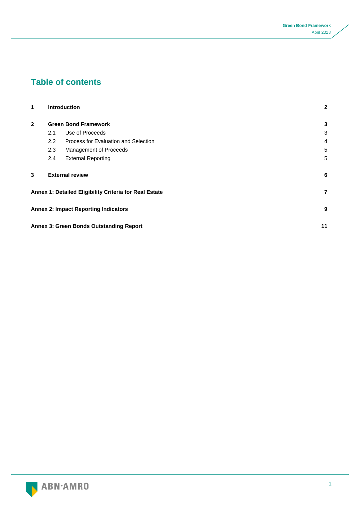# **Table of contents**

| 1            |                             | <b>Introduction</b>                                    | $\mathbf{2}$ |
|--------------|-----------------------------|--------------------------------------------------------|--------------|
| $\mathbf{2}$ | <b>Green Bond Framework</b> |                                                        |              |
|              | 2.1                         | Use of Proceeds                                        | 3            |
|              | $2.2^{\circ}$               | Process for Evaluation and Selection                   | 4            |
|              | 2.3                         | Management of Proceeds                                 | 5            |
|              | 2.4                         | <b>External Reporting</b>                              | 5            |
| 3            |                             | <b>External review</b>                                 | 6            |
|              |                             | Annex 1: Detailed Eligibility Criteria for Real Estate | 7            |
|              |                             | <b>Annex 2: Impact Reporting Indicators</b>            | 9            |
|              |                             | <b>Annex 3: Green Bonds Outstanding Report</b>         | 11           |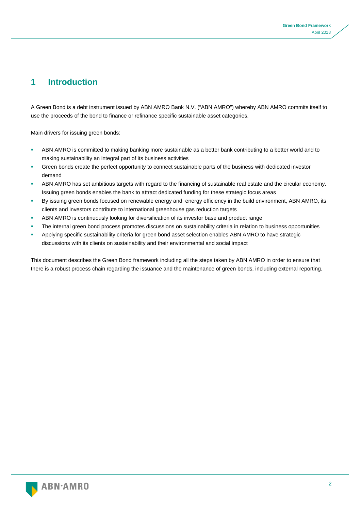# **1 Introduction**

A Green Bond is a debt instrument issued by ABN AMRO Bank N.V. ("ABN AMRO") whereby ABN AMRO commits itself to use the proceeds of the bond to finance or refinance specific sustainable asset categories.

Main drivers for issuing green bonds:

- **ABN AMRO is committed to making banking more sustainable as a better bank contributing to a better world and to** making sustainability an integral part of its business activities
- Green bonds create the perfect opportunity to connect sustainable parts of the business with dedicated investor demand
- ABN AMRO has set ambitious targets with regard to the financing of sustainable real estate and the circular economy. Issuing green bonds enables the bank to attract dedicated funding for these strategic focus areas
- By issuing green bonds focused on renewable energy and energy efficiency in the build environment, ABN AMRO, its clients and investors contribute to international greenhouse gas reduction targets
- ABN AMRO is continuously looking for diversification of its investor base and product range
- The internal green bond process promotes discussions on sustainability criteria in relation to business opportunities
- Applying specific sustainability criteria for green bond asset selection enables ABN AMRO to have strategic discussions with its clients on sustainability and their environmental and social impact

This document describes the Green Bond framework including all the steps taken by ABN AMRO in order to ensure that there is a robust process chain regarding the issuance and the maintenance of green bonds, including external reporting.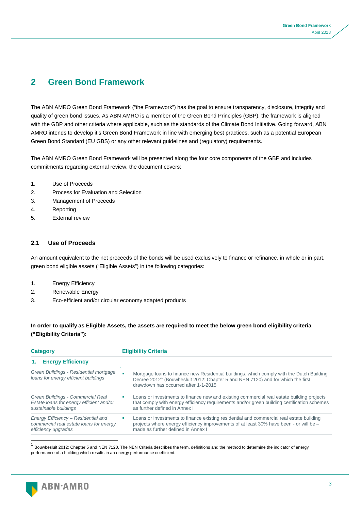# **2 Green Bond Framework**

The ABN AMRO Green Bond Framework ("the Framework") has the goal to ensure transparency, disclosure, integrity and quality of green bond issues. As ABN AMRO is a member of the Green Bond Principles (GBP), the framework is aligned with the GBP and other criteria where applicable, such as the standards of the Climate Bond Initiative. Going forward, ABN AMRO intends to develop it's Green Bond Framework in line with emerging best practices, such as a potential European Green Bond Standard (EU GBS) or any other relevant guidelines and (regulatory) requirements.

The ABN AMRO Green Bond Framework will be presented along the four core components of the GBP and includes commitments regarding external review, the document covers:

- 1. Use of Proceeds
- 2. Process for Evaluation and Selection
- 3. Management of Proceeds
- 4. Reporting
- 5. External review

## **2.1 Use of Proceeds**

An amount equivalent to the net proceeds of the bonds will be used exclusively to finance or refinance, in whole or in part, green bond eligible assets ("Eligible Assets") in the following categories:

- 1. Energy Efficiency
- 2. Renewable Energy
- 3. Eco-efficient and/or circular economy adapted products

## **In order to qualify as Eligible Assets, the assets are required to meet the below green bond eligibility criteria ("Eligibility Criteria"):**

| <b>Category</b> |                                                                                                        | <b>Eligibility Criteria</b> |                                                                                                                                                                                                                                  |  |
|-----------------|--------------------------------------------------------------------------------------------------------|-----------------------------|----------------------------------------------------------------------------------------------------------------------------------------------------------------------------------------------------------------------------------|--|
|                 | 1. Energy Efficiency                                                                                   |                             |                                                                                                                                                                                                                                  |  |
|                 | Green Buildings - Residential mortgage<br>loans for energy efficient buildings                         |                             | Mortgage loans to finance new Residential buildings, which comply with the Dutch Building<br>Decree 2012 <sup>1</sup> (Bouwbesluit 2012: Chapter 5 and NEN 7120) and for which the first<br>drawdown has occurred after 1-1-2015 |  |
|                 | Green Buildings - Commercial Real<br>Estate loans for energy efficient and/or<br>sustainable buildings |                             | Loans or investments to finance new and existing commercial real estate building projects<br>that comply with energy efficiency requirements and/or green building certification schemes<br>as further defined in Annex I        |  |
|                 | Energy Efficiency - Residential and<br>commercial real estate loans for energy<br>efficiency upgrades  |                             | Loans or investments to finance existing residential and commercial real estate building<br>projects where energy efficiency improvements of at least 30% have been - or will be -<br>made as further defined in Annex I         |  |

<span id="page-3-0"></span><sup>1</sup> Bouwbesluit 2012: Chapter 5 and NEN 7120. The NEN Criteria describes the term, definitions and the method to determine the indicator of energy performance of a building which results in an energy performance coefficient.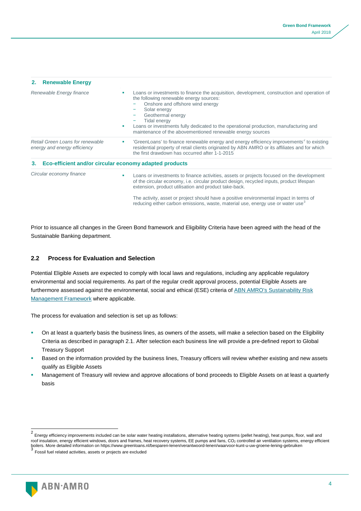| 2. Renewable Energy                                              |                                                                                                                                                                                                                                                                                                                                                                                                                                              |  |
|------------------------------------------------------------------|----------------------------------------------------------------------------------------------------------------------------------------------------------------------------------------------------------------------------------------------------------------------------------------------------------------------------------------------------------------------------------------------------------------------------------------------|--|
| Renewable Energy finance                                         | Loans or investments to finance the acquisition, development, construction and operation of<br>the following renewable energy sources:<br>Onshore and offshore wind energy<br>Solar energy<br>Geothermal energy<br><b>Tidal energy</b><br>Loans or investments fully dedicated to the operational production, manufacturing and<br>maintenance of the abovementioned renewable energy sources                                                |  |
| Retail Green Loans for renewable<br>energy and energy efficiency | 'GreenLoans' to finance renewable energy and energy efficiency improvements <sup>2</sup> to existing<br>residential property of retail clients originated by ABN AMRO or its affiliates and for which<br>the first drawdown has occurred after 1-1-2015                                                                                                                                                                                      |  |
| 3.                                                               | Eco-efficient and/or circular economy adapted products                                                                                                                                                                                                                                                                                                                                                                                       |  |
| Circular economy finance                                         | Loans or investments to finance activities, assets or projects focused on the development<br>٠<br>of the circular economy, i.e. circular product design, recycled inputs, product lifespan<br>extension, product utilisation and product take-back.<br>The activity, asset or project should have a positive environmental impact in terms of<br>reducing either carbon emissions, waste, material use, energy use or water use <sup>3</sup> |  |

Prior to issuance all changes in the Green Bond framework and Eligibility Criteria have been agreed with the head of the Sustainable Banking department.

## **2.2 Process for Evaluation and Selection**

Potential Eligible Assets are expected to comply with local laws and regulations, including any applicable regulatory environmental and social requirements. As part of the regular credit approval process, potential Eligible Assets are furthermore assessed against the environmental, social and ethical (ESE) criteria of [ABN AMRO's Sustainability Risk](https://www.abnamro.com/en/sustainable-banking/strategy-and-policy/sustainability-policy/index.html)  [Management Framework](https://www.abnamro.com/en/sustainable-banking/strategy-and-policy/sustainability-policy/index.html) where applicable.

The process for evaluation and selection is set up as follows:

- On at least a quarterly basis the business lines, as owners of the assets, will make a selection based on the Eligibility Criteria as described in paragraph 2.1. After selection each business line will provide a pre-defined report to Global Treasury Support
- Based on the information provided by the business lines, Treasury officers will review whether existing and new assets qualify as Eligible Assets
- Management of Treasury will review and approve allocations of bond proceeds to Eligible Assets on at least a quarterly basis

<span id="page-4-1"></span>

<span id="page-4-0"></span> <sup>2</sup> Energy efficiency improvements included can be solar water heating installations, alternative heating systems (pellet heating), heat pumps, floor, wall and roof insulation, energy efficient windows, doors and frames, heat recovery systems, EE pumps and fans, CO<sub>2</sub> controlled air ventilation systems, energy efficient boilers. More detailed information on https://www.greenloans.nl/besparen-lenen/verantwoord-lenen/waarvoor-kunt-u-uw-groene-lening-gebruiken <sup>3</sup> Fossil fuel related activities, assets or projects are excluded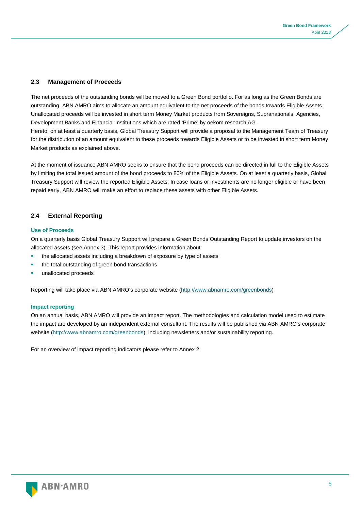## **2.3 Management of Proceeds**

The net proceeds of the outstanding bonds will be moved to a Green Bond portfolio. For as long as the Green Bonds are outstanding, ABN AMRO aims to allocate an amount equivalent to the net proceeds of the bonds towards Eligible Assets. Unallocated proceeds will be invested in short term Money Market products from Sovereigns, Supranationals, Agencies, Development Banks and Financial Institutions which are rated 'Prime' by oekom research AG.

Hereto, on at least a quarterly basis, Global Treasury Support will provide a proposal to the Management Team of Treasury for the distribution of an amount equivalent to these proceeds towards Eligible Assets or to be invested in short term Money Market products as explained above.

At the moment of issuance ABN AMRO seeks to ensure that the bond proceeds can be directed in full to the Eligible Assets by limiting the total issued amount of the bond proceeds to 80% of the Eligible Assets. On at least a quarterly basis, Global Treasury Support will review the reported Eligible Assets. In case loans or investments are no longer eligible or have been repaid early, ABN AMRO will make an effort to replace these assets with other Eligible Assets.

## **2.4 External Reporting**

#### **Use of Proceeds**

On a quarterly basis Global Treasury Support will prepare a Green Bonds Outstanding Report to update investors on the allocated assets (see Annex 3). This report provides information about:

- the allocated assets including a breakdown of exposure by type of assets
- the total outstanding of green bond transactions
- unallocated proceeds

Reporting will take place via ABN AMRO's corporate website [\(http://www.abnamro.com/greenbonds\)](http://www.abnamro.com/greenbonds)

#### **Impact reporting**

On an annual basis, ABN AMRO will provide an impact report. The methodologies and calculation model used to estimate the impact are developed by an independent external consultant. The results will be published via ABN AMRO's corporate website [\(http://www.abnamro.com/greenbonds\)](http://www.abnamro.com/greenbonds), including newsletters and/or sustainability reporting.

For an overview of impact reporting indicators please refer to Annex 2.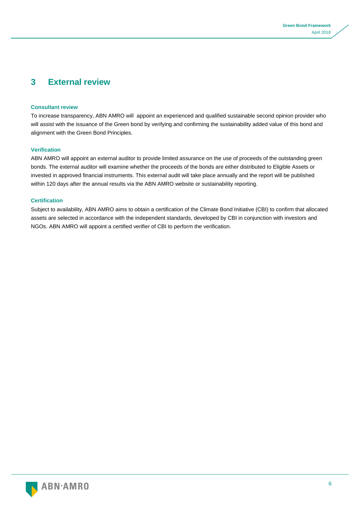## **3 External review**

#### **Consultant review**

To increase transparency, ABN AMRO will appoint an experienced and qualified sustainable second opinion provider who will assist with the issuance of the Green bond by verifying and confirming the sustainability added value of this bond and alignment with the Green Bond Principles.

#### **Verification**

ABN AMRO will appoint an external auditor to provide limited assurance on the use of proceeds of the outstanding green bonds. The external auditor will examine whether the proceeds of the bonds are either distributed to Eligible Assets or invested in approved financial instruments. This external audit will take place annually and the report will be published within 120 days after the annual results via the ABN AMRO website or sustainability reporting.

#### **Certification**

Subject to availability, ABN AMRO aims to obtain a certification of the Climate Bond Initiative (CBI) to confirm that allocated assets are selected in accordance with the independent standards, developed by CBI in conjunction with investors and NGOs. ABN AMRO will appoint a certified verifier of CBI to perform the verification.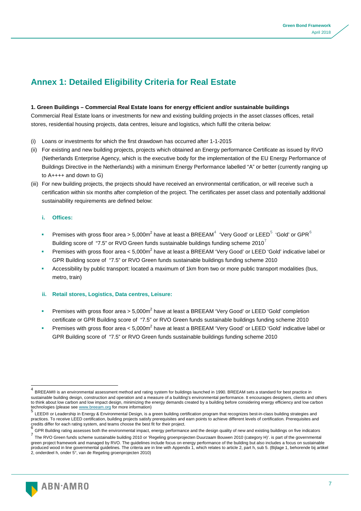# **Annex 1: Detailed Eligibility Criteria for Real Estate**

#### **1. Green Buildings – Commercial Real Estate loans for energy efficient and/or sustainable buildings**

Commercial Real Estate loans or investments for new and existing building projects in the asset classes offices, retail stores, residential housing projects, data centres, leisure and logistics, which fulfil the criteria below:

- (i) Loans or investments for which the first drawdown has occurred after 1-1-2015
- (ii) For existing and new building projects, projects which obtained an Energy performance Certificate as issued by RVO (Netherlands Enterprise Agency, which is the executive body for the implementation of the EU Energy Performance of Buildings Directive in the Netherlands) with a minimum Energy Performance labelled "A" or better (currently ranging up to A++++ and down to G)
- (iii) For new building projects, the projects should have received an environmental certification, or will receive such a certification within six months after completion of the project. The certificates per asset class and potentially additional sustainability requirements are defined below:

#### **i. Offices:**

- Premises with gross floor area > 5,000m<sup>2</sup> have at least a BREEAM<sup>[4](#page-7-0)</sup> 'Very Good' or LEED<sup>[5](#page-7-1)</sup> 'Gold' or GPR<sup>[6](#page-7-2)</sup> Building score of "[7](#page-7-3).5" or RVO Green funds sustainable buildings funding scheme  $2010<sup>7</sup>$
- Premises with gross floor area < 5,000 $m^2$  have at least a BREEAM 'Very Good' or LEED 'Gold' indicative label or GPR Building score of "7.5" or RVO Green funds sustainable buildings funding scheme 2010
- Accessibility by public transport: located a maximum of 1km from two or more public transport modalities (bus, metro, train)

#### **ii. Retail stores, Logistics, Data centres, Leisure:**

- Premises with gross floor area >  $5.000m^2$  have at least a BREEAM 'Very Good' or LEED 'Gold' completion certificate or GPR Building score of "7.5" or RVO Green funds sustainable buildings funding scheme 2010
- Premises with gross floor area < 5,000m<sup>2</sup> have at least a BREEAM 'Very Good' or LEED 'Gold' indicative label or GPR Building score of "7.5" or RVO Green funds sustainable buildings funding scheme 2010

<span id="page-7-3"></span><span id="page-7-2"></span><sup>&</sup>lt;sup>b</sup> GPR Building rating assesses both the environmental impact, energy performance and the design quality of new and existing buildings on five indicators<br>The RVO Green funds scheme sustainable building 2010 or 'Regeling g green project framework and managed by RVO. The guidelines include focus on energy performance of the building but also includes a focus on sustainable produced wood in line governmental guidelines. The criteria are in line with Appendix 1, which relates to article 2, part h, sub 5. (Bijlage 1, behorende bij artikel 2, onderdeel h, onder 5°, van de Regeling groenprojecten 2010)



<span id="page-7-0"></span> <sup>4</sup> BREEAM® is an environmental assessment method and rating system for buildings launched in 1990. BREEAM sets a standard for best practice in sustainable building design, construction and operation and a measure of a building's environmental performance. It encourages designers, clients and others to think about low carbon and low impact design, minimizing the energy demands created by a building before considering energy efficiency and low carbon technologies (please see www.breeam.org for more information)

<span id="page-7-1"></span>LEED® or Leadership in Energy & Environmental Design, is a green building certification program that recognizes best-in-class building strategies and practices. To receive LEED certification, building projects satisfy prerequisites and earn points to achieve different levels of certification. Prerequisites and credits differ for each rating system, and teams choose the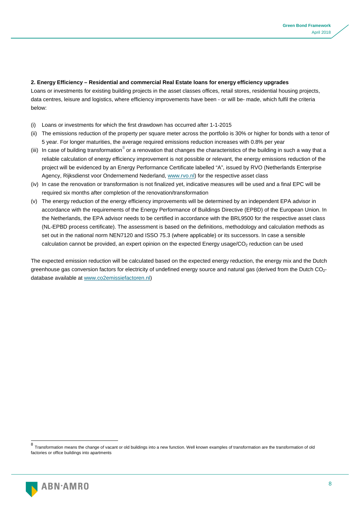#### **2. Energy Efficiency – Residential and commercial Real Estate loans for energy efficiency upgrades**

Loans or investments for existing building projects in the asset classes offices, retail stores, residential housing projects, data centres, leisure and logistics, where efficiency improvements have been - or will be- made, which fulfil the criteria below:

- (i) Loans or investments for which the first drawdown has occurred after 1-1-2015
- (ii) The emissions reduction of the property per square meter across the portfolio is 30% or higher for bonds with a tenor of 5 year. For longer maturities, the average required emissions reduction increases with 0.8% per year
- (iii) In case of building transformation  $^8$  $^8$  or a renovation that changes the characteristics of the building in such a way that a reliable calculation of energy efficiency improvement is not possible or relevant, the energy emissions reduction of the project will be evidenced by an Energy Performance Certificate labelled "A", issued by RVO (Netherlands Enterprise Agency, Rijksdienst voor Ondernemend Nederland[, www.rvo.nl\)](http://www.rvo.nl/) for the respective asset class
- (iv) In case the renovation or transformation is not finalized yet, indicative measures will be used and a final EPC will be required six months after completion of the renovation/transformation
- (v) The energy reduction of the energy efficiency improvements will be determined by an independent EPA advisor in accordance with the requirements of the Energy Performance of Buildings Directive (EPBD) of the European Union. In the Netherlands, the EPA advisor needs to be certified in accordance with the BRL9500 for the respective asset class (NL-EPBD process certificate). The assessment is based on the definitions, methodology and calculation methods as set out in the national norm NEN7120 and ISSO 75.3 (where applicable) or its successors. In case a sensible calculation cannot be provided, an expert opinion on the expected Energy usage/CO<sub>2</sub> reduction can be used

The expected emission reduction will be calculated based on the expected energy reduction, the energy mix and the Dutch greenhouse gas conversion factors for electricity of undefined energy source and natural gas (derived from the Dutch CO<sub>2</sub>database available a[t www.co2emissiefactoren.nl\)](http://www.co2emissiefactoren.nl/)

<span id="page-8-0"></span> <sup>8</sup> Transformation means the change of vacant or old buildings into a new function. Well known examples of transformation are the transformation of old factories or office buildings into apartments

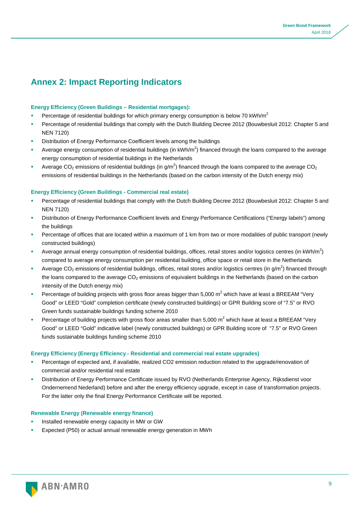# **Annex 2: Impact Reporting Indicators**

#### **Energy Efficiency (Green Buildings – Residential mortgages):**

- Percentage of residential buildings for which primary energy consumption is below 70 kWh/m<sup>2</sup>
- Percentage of residential buildings that comply with the Dutch Building Decree 2012 (Bouwbesluit 2012: Chapter 5 and NEN 7120)
- Distribution of Energy Performance Coefficient levels among the buildings
- **Average energy consumption of residential buildings (in kWh/m<sup>2</sup>) financed through the loans compared to the average** energy consumption of residential buildings in the Netherlands
- Average CO<sub>2</sub> emissions of residential buildings (in g/m<sup>2</sup>) financed through the loans compared to the average CO<sub>2</sub> emissions of residential buildings in the Netherlands (based on the carbon intensity of the Dutch energy mix)

#### **Energy Efficiency (Green Buildings - Commercial real estate)**

- Percentage of residential buildings that comply with the Dutch Building Decree 2012 (Bouwbesluit 2012: Chapter 5 and NEN 7120)
- Distribution of Energy Performance Coefficient levels and Energy Performance Certifications ("Energy labels") among the buildings
- Percentage of offices that are located within a maximum of 1 km from two or more modalities of public transport (newly constructed buildings)
- Average annual energy consumption of residential buildings, offices, retail stores and/or logistics centres (in kWh/m<sup>2</sup>) compared to average energy consumption per residential building, office space or retail store in the Netherlands
- Average CO<sub>2</sub> emissions of residential buildings, offices, retail stores and/or logistics centres (in g/m<sup>2</sup>) financed through the loans compared to the average  $CO<sub>2</sub>$  emissions of equivalent buildings in the Netherlands (based on the carbon intensity of the Dutch energy mix)
- Percentage of building projects with gross floor areas bigger than 5,000  $m^2$  which have at least a BREEAM "Very Good" or LEED "Gold" completion certificate (newly constructed buildings) or GPR Building score of "7.5" or RVO Green funds sustainable buildings funding scheme 2010
- Percentage of building projects with gross floor areas smaller than 5,000 m<sup>2</sup> which have at least a BREEAM "Very Good" or LEED "Gold" indicative label (newly constructed buildings) or GPR Building score of "7.5" or RVO Green funds sustainable buildings funding scheme 2010

#### **Energy Efficiency (Energy Efficiency - Residential and commercial real estate upgrades)**

- Percentage of expected and, if available, realized CO2 emission reduction related to the upgrade/renovation of commercial and/or residential real estate
- Distribution of Energy Performance Certificate issued by RVO (Netherlands Enterprise Agency, Rijksdienst voor Ondernemend Nederland) before and after the energy efficiency upgrade, except in case of transformation projects. For the latter only the final Energy Performance Certificate will be reported.

#### **Renewable Energy (Renewable energy finance)**

- Installed renewable energy capacity in MW or GW
- Expected (P50) or actual annual renewable energy generation in MWh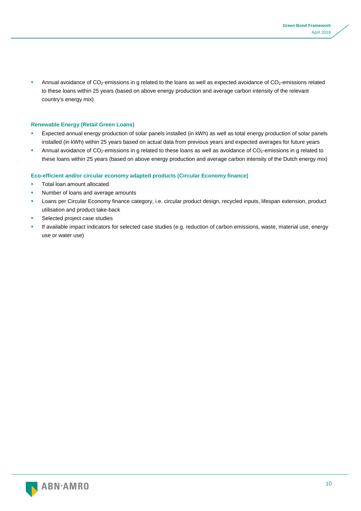Annual avoidance of CO<sub>2</sub>-emissions in g related to the loans as well as expected avoidance of CO<sub>2</sub>-emissions related to these loans within 25 years (based on above energy production and average carbon intensity of the relevant country's energy mix)

#### **Renewable Energy (Retail Green Loans)**

- Expected annual energy production of solar panels installed (in kWh) as well as total energy production of solar panels installed (in kWh) within 25 years based on actual data from previous years and expected averages for future years
- Annual avoidance of  $CO_2$ -emissions in g related to these loans as well as avoidance of  $CO_2$ -emissions in g related to these loans within 25 years (based on above energy production and average carbon intensity of the Dutch energy mix)

#### **Eco-efficient and/or circular economy adapted products (Circular Economy finance)**

- Total loan amount allocated
- Number of loans and average amounts
- Loans per Circular Economy finance category, i.e. circular product design, recycled inputs, lifespan extension, product utilisation and product take-back
- Selected project case studies
- If available impact indicators for selected case studies (e.g. reduction of carbon emissions, waste, material use, energy use or water use)

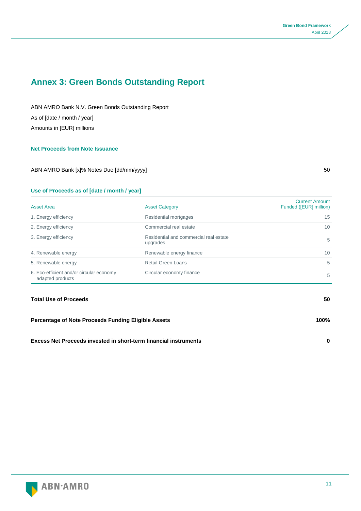# **Annex 3: Green Bonds Outstanding Report**

ABN AMRO Bank N.V. Green Bonds Outstanding Report As of [date / month / year] Amounts in [EUR] millions

#### **Net Proceeds from Note Issuance**

ABN AMRO Bank [x]% Notes Due [dd/mm/yyyy] 50

## **Use of Proceeds as of [date / month / year]**

| <b>Asset Area</b>                                            | <b>Asset Category</b>                              | <b>Current Amount</b><br>Funded ([EUR] million) |
|--------------------------------------------------------------|----------------------------------------------------|-------------------------------------------------|
| 1. Energy efficiency                                         | Residential mortgages                              | 15                                              |
| 2. Energy efficiency                                         | Commercial real estate                             | 10                                              |
| 3. Energy efficiency                                         | Residential and commercial real estate<br>upgrades | 5                                               |
| 4. Renewable energy                                          | Renewable energy finance                           | 10 <sup>°</sup>                                 |
| 5. Renewable energy                                          | Retail Green Loans                                 | 5                                               |
| 6. Eco-efficient and/or circular economy<br>adapted products | Circular economy finance                           | 5                                               |

## **Total Use of Proceeds 50**

| <b>Percentage of Note Proceeds Funding Eligible Assets</b>              | 100% |
|-------------------------------------------------------------------------|------|
| <b>Excess Net Proceeds invested in short-term financial instruments</b> |      |